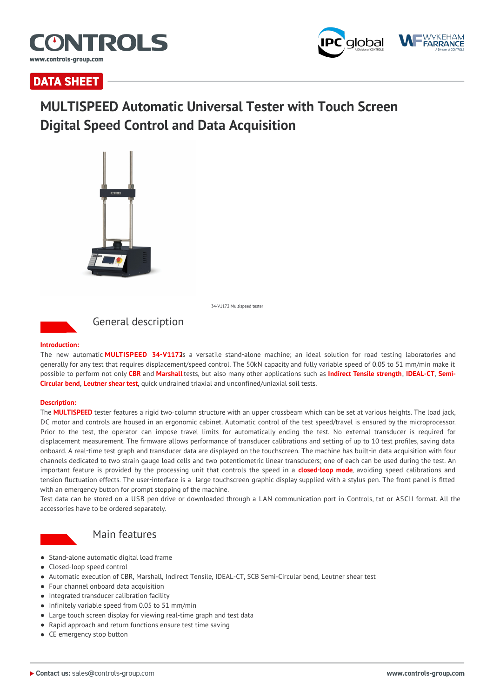



# **DATA SHEET**

# **MULTISPEED Automatic Universal Tester with Touch Screen Digital Speed Control and Data Acquisition**



34-V1172 Multispeed tester



# General description

#### **Introduction:**

The new automatic **MULTISPEED 34-V1172**is a versatile stand-alone machine; an ideal solution for road testing laboratories and generally for any test that requires displacement/speed control. The 50kN capacity and fully variable speed of 0.05 to 51 mm/min make it possible to perform not only **CBR** and **Marshall** tests, but also many other applications such as **Indirect Tensile strength**, **IDEAL-CT**, **Semi-Circular bend**, **Leutner shear test**, quick undrained triaxial and unconfined/uniaxial soil tests.

#### **Description:**

The **MULTISPEED** tester features a rigid two-column structure with an upper crossbeam which can be set at various heights. The load jack, DC motor and controls are housed in an ergonomic cabinet. Automatic control of the test speed/travel is ensured by the microprocessor. Prior to the test, the operator can impose travel limits for automatically ending the test. No external transducer is required for displacement measurement. The firmware allows performance of transducer calibrations and setting of up to 10 test profiles, saving data onboard. A real-time test graph and transducer data are displayed on the touchscreen. The machine has built-in data acquisition with four channels dedicated to two strain gauge load cells and two potentiometric linear transducers; one of each can be used during the test. An important feature is provided by the processing unit that controls the speed in a **closed-loop mode**, avoiding speed calibrations and tension fluctuation effects. The user-interface is a large touchscreen graphic display supplied with a stylus pen. The front panel is fitted with an emergency button for prompt stopping of the machine.

Test data can be stored on a USB pen drive or downloaded through a LAN communication port in Controls, txt or ASCII format. All the accessories have to be ordered separately.



## Main features

- Stand-alone automatic digital load frame
- Closed-loop speed control
- Automatic execution of CBR, Marshall, Indirect Tensile, IDEAL-CT, SCB Semi-Circular bend, Leutner shear test
- Four channel onboard data acquisition
- Integrated transducer calibration facility
- $\bullet$  Infinitely variable speed from 0.05 to 51 mm/min
- Large touch screen display for viewing real-time graph and test data
- Rapid approach and return functions ensure test time saving
- CE emergency stop button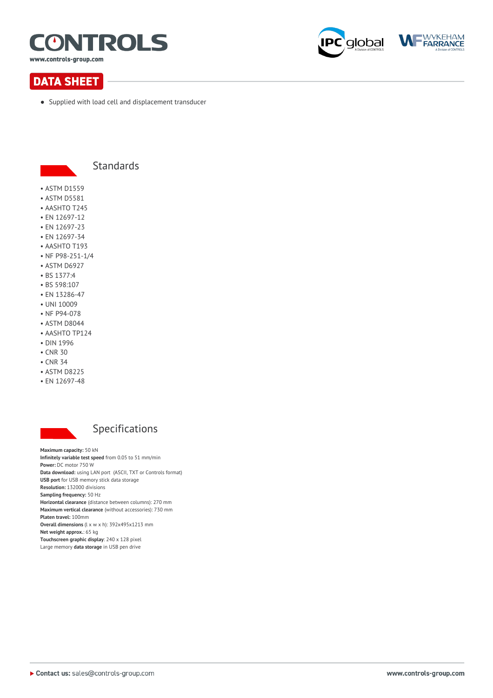

www.controls-group.com





• Supplied with load cell and displacement transducer



# Standards

- ASTM D1559
- ASTM D5581
- AASHTO T245
- EN 12697-12
- EN 12697-23
- EN 12697-34
- AASHTO T193 • NF P98-251-1/4
- ASTM D6927
- BS 1377:4
- 
- BS 598:107
- EN 13286-47
- UNI 10009
- NF P94-078
- ASTM D8044
- AASHTO TP124
- DIN 1996
- CNR 30
- CNR 34
- ASTM D8225
- EN 12697-48



# Specifications

**Maximum capacity:** 50 kN **Infinitely variable test speed** from 0.05 to 51 mm/min **Power:** DC motor 750 W **Data download:** using LAN port (ASCII, TXT or Controls format) **USB port** for USB memory stick data storage **Resolution:** 132000 divisions **Sampling frequency:** 50 Hz **Horizontal clearance** (distance between columns): 270 mm **Maximum vertical clearance** (without accessories): 730 mm **Platen travel:** 100mm **Overall dimensions** (l x w x h): 392x495x1213 mm **Net weight approx.**: 65 kg **Touchscreen graphic display**: 240 x 128 pixel Large memory **data storage** in USB pen drive